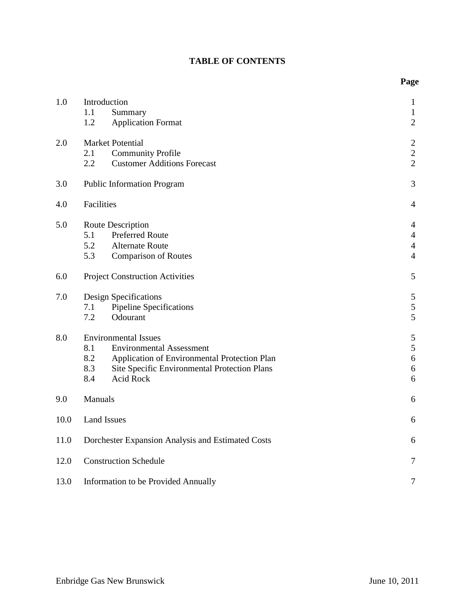# **TABLE OF CONTENTS**

| 1.0  | Introduction<br>1.1<br>Summary<br><b>Application Format</b><br>1.2                                                                                                                                             | $\mathbf{1}$<br>$\mathbf{1}$<br>$\mathfrak{2}$                       |  |  |
|------|----------------------------------------------------------------------------------------------------------------------------------------------------------------------------------------------------------------|----------------------------------------------------------------------|--|--|
| 2.0  | <b>Market Potential</b><br>2.1<br><b>Community Profile</b><br>2.2<br><b>Customer Additions Forecast</b>                                                                                                        | $\mathbf{2}$<br>$\sqrt{2}$<br>$\overline{2}$                         |  |  |
| 3.0  | <b>Public Information Program</b>                                                                                                                                                                              | 3                                                                    |  |  |
| 4.0  | Facilities                                                                                                                                                                                                     | $\overline{4}$                                                       |  |  |
| 5.0  | Route Description<br>5.1<br><b>Preferred Route</b><br>5.2<br><b>Alternate Route</b><br>5.3<br><b>Comparison of Routes</b>                                                                                      | $\overline{4}$<br>$\overline{4}$<br>$\overline{4}$<br>$\overline{4}$ |  |  |
| 6.0  | <b>Project Construction Activities</b>                                                                                                                                                                         | $\mathfrak{S}$                                                       |  |  |
| 7.0  | <b>Design Specifications</b><br><b>Pipeline Specifications</b><br>7.1<br>7.2<br>Odourant                                                                                                                       | $\mathfrak{S}$<br>$\sqrt{5}$<br>5                                    |  |  |
| 8.0  | <b>Environmental Issues</b><br><b>Environmental Assessment</b><br>8.1<br>8.2<br>Application of Environmental Protection Plan<br>8.3<br>Site Specific Environmental Protection Plans<br>8.4<br><b>Acid Rock</b> | $\mathfrak{S}$<br>5<br>$\sqrt{6}$<br>$\sqrt{6}$<br>6                 |  |  |
| 9.0  | Manuals                                                                                                                                                                                                        | 6                                                                    |  |  |
| 10.0 | <b>Land Issues</b>                                                                                                                                                                                             | 6                                                                    |  |  |
| 11.0 | Dorchester Expansion Analysis and Estimated Costs                                                                                                                                                              | 6                                                                    |  |  |
| 12.0 | <b>Construction Schedule</b>                                                                                                                                                                                   |                                                                      |  |  |
| 13.0 | Information to be Provided Annually                                                                                                                                                                            |                                                                      |  |  |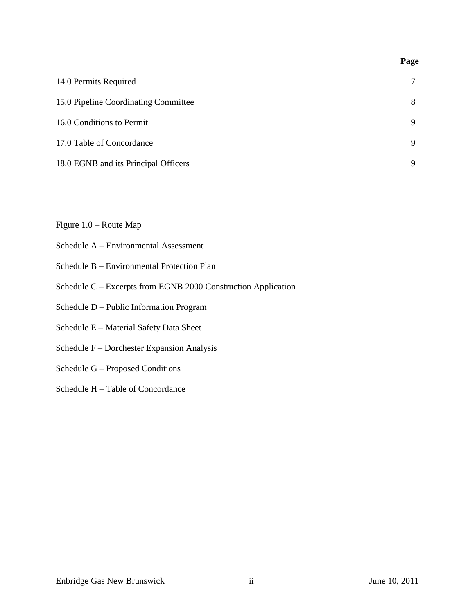| 14.0 Permits Required                | 7 |
|--------------------------------------|---|
| 15.0 Pipeline Coordinating Committee | 8 |
| 16.0 Conditions to Permit            | 9 |
| 17.0 Table of Concordance            | 9 |
| 18.0 EGNB and its Principal Officers | 9 |

Figure 1.0 – Route Map

- Schedule A Environmental Assessment
- Schedule B Environmental Protection Plan
- Schedule C Excerpts from EGNB 2000 Construction Application
- Schedule D Public Information Program
- Schedule E Material Safety Data Sheet
- Schedule F Dorchester Expansion Analysis
- Schedule G Proposed Conditions
- Schedule H Table of Concordance

**Page**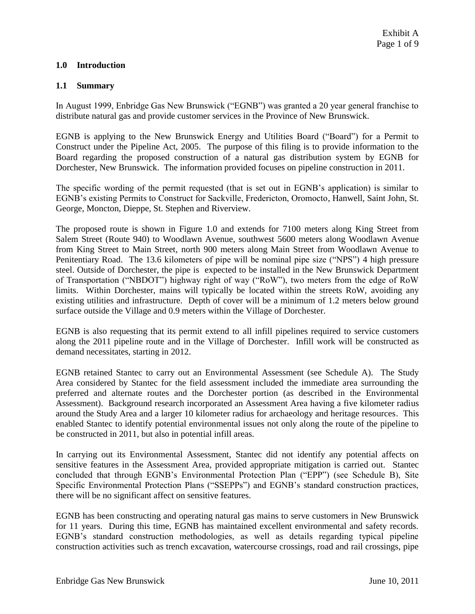# **1.0 Introduction**

### **1.1 Summary**

In August 1999, Enbridge Gas New Brunswick ("EGNB") was granted a 20 year general franchise to distribute natural gas and provide customer services in the Province of New Brunswick.

EGNB is applying to the New Brunswick Energy and Utilities Board ("Board") for a Permit to Construct under the Pipeline Act, 2005. The purpose of this filing is to provide information to the Board regarding the proposed construction of a natural gas distribution system by EGNB for Dorchester, New Brunswick. The information provided focuses on pipeline construction in 2011.

The specific wording of the permit requested (that is set out in EGNB's application) is similar to EGNB's existing Permits to Construct for Sackville, Fredericton, Oromocto, Hanwell, Saint John, St. George, Moncton, Dieppe, St. Stephen and Riverview.

The proposed route is shown in Figure 1.0 and extends for 7100 meters along King Street from Salem Street (Route 940) to Woodlawn Avenue, southwest 5600 meters along Woodlawn Avenue from King Street to Main Street, north 900 meters along Main Street from Woodlawn Avenue to Penitentiary Road. The 13.6 kilometers of pipe will be nominal pipe size ("NPS") 4 high pressure steel. Outside of Dorchester, the pipe is expected to be installed in the New Brunswick Department of Transportation ("NBDOT") highway right of way ("RoW"), two meters from the edge of RoW limits. Within Dorchester, mains will typically be located within the streets RoW, avoiding any existing utilities and infrastructure. Depth of cover will be a minimum of 1.2 meters below ground surface outside the Village and 0.9 meters within the Village of Dorchester.

EGNB is also requesting that its permit extend to all infill pipelines required to service customers along the 2011 pipeline route and in the Village of Dorchester. Infill work will be constructed as demand necessitates, starting in 2012.

EGNB retained Stantec to carry out an Environmental Assessment (see Schedule A). The Study Area considered by Stantec for the field assessment included the immediate area surrounding the preferred and alternate routes and the Dorchester portion (as described in the Environmental Assessment). Background research incorporated an Assessment Area having a five kilometer radius around the Study Area and a larger 10 kilometer radius for archaeology and heritage resources. This enabled Stantec to identify potential environmental issues not only along the route of the pipeline to be constructed in 2011, but also in potential infill areas.

In carrying out its Environmental Assessment, Stantec did not identify any potential affects on sensitive features in the Assessment Area, provided appropriate mitigation is carried out. Stantec concluded that through EGNB's Environmental Protection Plan ("EPP") (see Schedule B), Site Specific Environmental Protection Plans ("SSEPPs") and EGNB's standard construction practices, there will be no significant affect on sensitive features.

EGNB has been constructing and operating natural gas mains to serve customers in New Brunswick for 11 years. During this time, EGNB has maintained excellent environmental and safety records. EGNB's standard construction methodologies, as well as details regarding typical pipeline construction activities such as trench excavation, watercourse crossings, road and rail crossings, pipe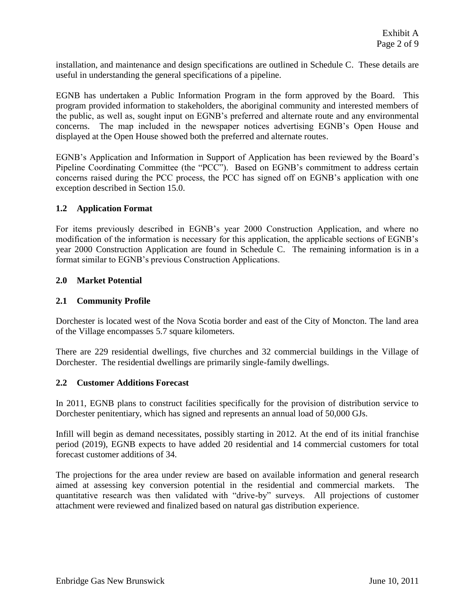installation, and maintenance and design specifications are outlined in Schedule C. These details are useful in understanding the general specifications of a pipeline.

EGNB has undertaken a Public Information Program in the form approved by the Board. This program provided information to stakeholders, the aboriginal community and interested members of the public, as well as, sought input on EGNB's preferred and alternate route and any environmental concerns. The map included in the newspaper notices advertising EGNB's Open House and displayed at the Open House showed both the preferred and alternate routes.

EGNB's Application and Information in Support of Application has been reviewed by the Board's Pipeline Coordinating Committee (the "PCC"). Based on EGNB's commitment to address certain concerns raised during the PCC process, the PCC has signed off on EGNB's application with one exception described in Section 15.0.

# **1.2 Application Format**

For items previously described in EGNB's year 2000 Construction Application, and where no modification of the information is necessary for this application, the applicable sections of EGNB's year 2000 Construction Application are found in Schedule C. The remaining information is in a format similar to EGNB's previous Construction Applications.

### **2.0 Market Potential**

### **2.1 Community Profile**

Dorchester is located west of the Nova Scotia border and east of the City of Moncton. The land area of the Village encompasses 5.7 square kilometers.

There are 229 residential dwellings, five churches and 32 commercial buildings in the Village of Dorchester. The residential dwellings are primarily single-family dwellings.

### **2.2 Customer Additions Forecast**

In 2011, EGNB plans to construct facilities specifically for the provision of distribution service to Dorchester penitentiary, which has signed and represents an annual load of 50,000 GJs.

Infill will begin as demand necessitates, possibly starting in 2012. At the end of its initial franchise period (2019), EGNB expects to have added 20 residential and 14 commercial customers for total forecast customer additions of 34.

The projections for the area under review are based on available information and general research aimed at assessing key conversion potential in the residential and commercial markets. The quantitative research was then validated with "drive-by" surveys. All projections of customer attachment were reviewed and finalized based on natural gas distribution experience.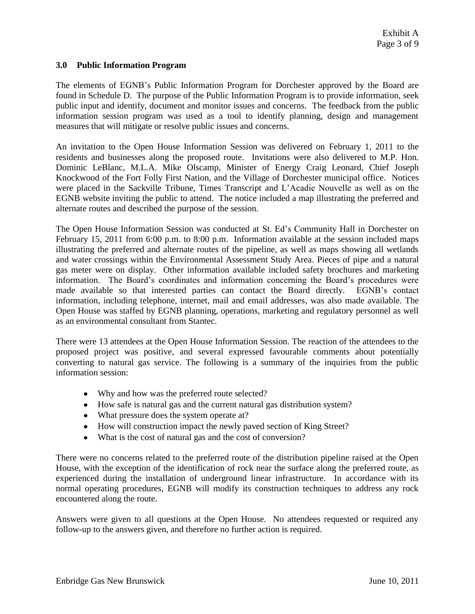### **3.0 Public Information Program**

The elements of EGNB's Public Information Program for Dorchester approved by the Board are found in Schedule D. The purpose of the Public Information Program is to provide information, seek public input and identify, document and monitor issues and concerns. The feedback from the public information session program was used as a tool to identify planning, design and management measures that will mitigate or resolve public issues and concerns.

An invitation to the Open House Information Session was delivered on February 1, 2011 to the residents and businesses along the proposed route. Invitations were also delivered to M.P. Hon. Dominic LeBlanc, M.L.A. Mike Olscamp, Minister of Energy Craig Leonard, Chief Joseph Knockwood of the Fort Folly First Nation, and the Village of Dorchester municipal office. Notices were placed in the Sackville Tribune, Times Transcript and L'Acadie Nouvelle as well as on the EGNB website inviting the public to attend. The notice included a map illustrating the preferred and alternate routes and described the purpose of the session.

The Open House Information Session was conducted at St. Ed's Community Hall in Dorchester on February 15, 2011 from 6:00 p.m. to 8:00 p.m. Information available at the session included maps illustrating the preferred and alternate routes of the pipeline, as well as maps showing all wetlands and water crossings within the Environmental Assessment Study Area. Pieces of pipe and a natural gas meter were on display. Other information available included safety brochures and marketing information. The Board's coordinates and information concerning the Board's procedures were made available so that interested parties can contact the Board directly. EGNB's contact information, including telephone, internet, mail and email addresses, was also made available. The Open House was staffed by EGNB planning, operations, marketing and regulatory personnel as well as an environmental consultant from Stantec.

There were 13 attendees at the Open House Information Session. The reaction of the attendees to the proposed project was positive, and several expressed favourable comments about potentially converting to natural gas service. The following is a summary of the inquiries from the public information session:

- Why and how was the preferred route selected?
- How safe is natural gas and the current natural gas distribution system?
- What pressure does the system operate at?
- How will construction impact the newly paved section of King Street?
- What is the cost of natural gas and the cost of conversion?

There were no concerns related to the preferred route of the distribution pipeline raised at the Open House, with the exception of the identification of rock near the surface along the preferred route, as experienced during the installation of underground linear infrastructure. In accordance with its normal operating procedures, EGNB will modify its construction techniques to address any rock encountered along the route.

Answers were given to all questions at the Open House. No attendees requested or required any follow-up to the answers given, and therefore no further action is required.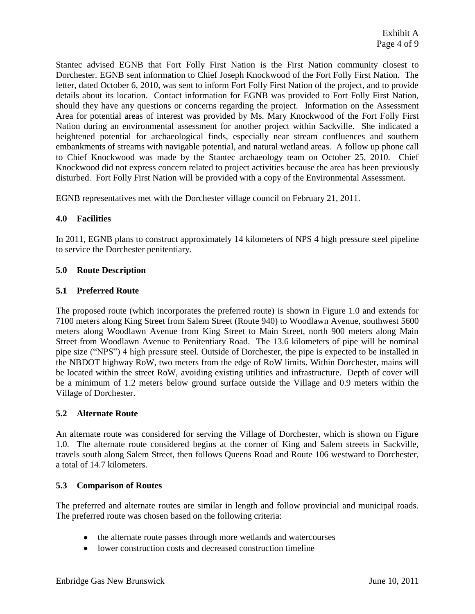Stantec advised EGNB that Fort Folly First Nation is the First Nation community closest to Dorchester. EGNB sent information to Chief Joseph Knockwood of the Fort Folly First Nation. The letter, dated October 6, 2010, was sent to inform Fort Folly First Nation of the project, and to provide details about its location. Contact information for EGNB was provided to Fort Folly First Nation, should they have any questions or concerns regarding the project. Information on the Assessment Area for potential areas of interest was provided by Ms. Mary Knockwood of the Fort Folly First Nation during an environmental assessment for another project within Sackville. She indicated a heightened potential for archaeological finds, especially near stream confluences and southern embankments of streams with navigable potential, and natural wetland areas. A follow up phone call to Chief Knockwood was made by the Stantec archaeology team on October 25, 2010. Chief Knockwood did not express concern related to project activities because the area has been previously disturbed. Fort Folly First Nation will be provided with a copy of the Environmental Assessment.

EGNB representatives met with the Dorchester village council on February 21, 2011.

# **4.0 Facilities**

In 2011, EGNB plans to construct approximately 14 kilometers of NPS 4 high pressure steel pipeline to service the Dorchester penitentiary.

### **5.0 Route Description**

### **5.1 Preferred Route**

The proposed route (which incorporates the preferred route) is shown in Figure 1.0 and extends for 7100 meters along King Street from Salem Street (Route 940) to Woodlawn Avenue, southwest 5600 meters along Woodlawn Avenue from King Street to Main Street, north 900 meters along Main Street from Woodlawn Avenue to Penitentiary Road. The 13.6 kilometers of pipe will be nominal pipe size ("NPS") 4 high pressure steel. Outside of Dorchester, the pipe is expected to be installed in the NBDOT highway RoW, two meters from the edge of RoW limits. Within Dorchester, mains will be located within the street RoW, avoiding existing utilities and infrastructure. Depth of cover will be a minimum of 1.2 meters below ground surface outside the Village and 0.9 meters within the Village of Dorchester.

### **5.2 Alternate Route**

An alternate route was considered for serving the Village of Dorchester, which is shown on Figure 1.0. The alternate route considered begins at the corner of King and Salem streets in Sackville, travels south along Salem Street, then follows Queens Road and Route 106 westward to Dorchester, a total of 14.7 kilometers.

### **5.3 Comparison of Routes**

The preferred and alternate routes are similar in length and follow provincial and municipal roads. The preferred route was chosen based on the following criteria:

- the alternate route passes through more wetlands and watercourses
- lower construction costs and decreased construction timeline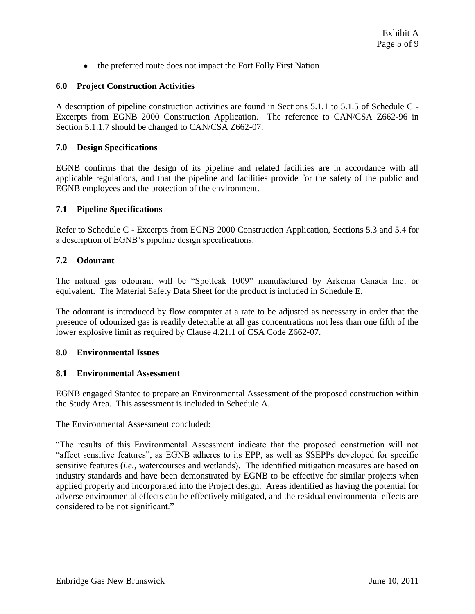the preferred route does not impact the Fort Folly First Nation

# **6.0 Project Construction Activities**

A description of pipeline construction activities are found in Sections 5.1.1 to 5.1.5 of Schedule C - Excerpts from EGNB 2000 Construction Application. The reference to CAN/CSA Z662-96 in Section 5.1.1.7 should be changed to CAN/CSA Z662-07.

# **7.0 Design Specifications**

EGNB confirms that the design of its pipeline and related facilities are in accordance with all applicable regulations, and that the pipeline and facilities provide for the safety of the public and EGNB employees and the protection of the environment.

### **7.1 Pipeline Specifications**

Refer to Schedule C - Excerpts from EGNB 2000 Construction Application, Sections 5.3 and 5.4 for a description of EGNB's pipeline design specifications.

### **7.2 Odourant**

The natural gas odourant will be "Spotleak 1009" manufactured by Arkema Canada Inc. or equivalent. The Material Safety Data Sheet for the product is included in Schedule E.

The odourant is introduced by flow computer at a rate to be adjusted as necessary in order that the presence of odourized gas is readily detectable at all gas concentrations not less than one fifth of the lower explosive limit as required by Clause 4.21.1 of CSA Code Z662-07.

### **8.0 Environmental Issues**

### **8.1 Environmental Assessment**

EGNB engaged Stantec to prepare an Environmental Assessment of the proposed construction within the Study Area. This assessment is included in Schedule A.

The Environmental Assessment concluded:

"The results of this Environmental Assessment indicate that the proposed construction will not "affect sensitive features", as EGNB adheres to its EPP, as well as SSEPPs developed for specific sensitive features (*i.e.*, watercourses and wetlands). The identified mitigation measures are based on industry standards and have been demonstrated by EGNB to be effective for similar projects when applied properly and incorporated into the Project design. Areas identified as having the potential for adverse environmental effects can be effectively mitigated, and the residual environmental effects are considered to be not significant."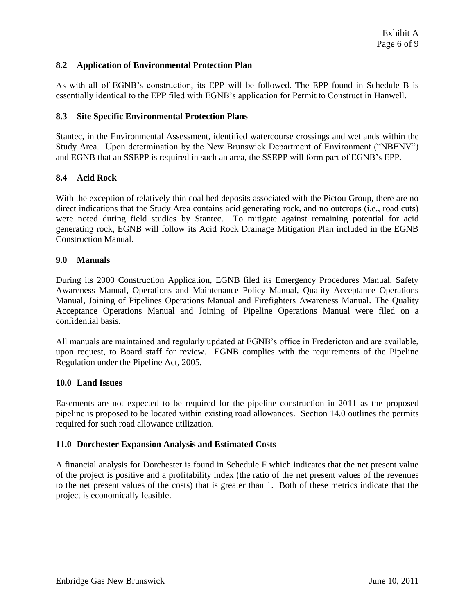### **8.2 Application of Environmental Protection Plan**

As with all of EGNB's construction, its EPP will be followed. The EPP found in Schedule B is essentially identical to the EPP filed with EGNB's application for Permit to Construct in Hanwell.

### **8.3 Site Specific Environmental Protection Plans**

Stantec, in the Environmental Assessment, identified watercourse crossings and wetlands within the Study Area. Upon determination by the New Brunswick Department of Environment ("NBENV") and EGNB that an SSEPP is required in such an area, the SSEPP will form part of EGNB's EPP.

### **8.4 Acid Rock**

With the exception of relatively thin coal bed deposits associated with the Pictou Group, there are no direct indications that the Study Area contains acid generating rock, and no outcrops (i.e., road cuts) were noted during field studies by Stantec. To mitigate against remaining potential for acid generating rock, EGNB will follow its Acid Rock Drainage Mitigation Plan included in the EGNB Construction Manual.

# **9.0 Manuals**

During its 2000 Construction Application, EGNB filed its Emergency Procedures Manual, Safety Awareness Manual, Operations and Maintenance Policy Manual, Quality Acceptance Operations Manual, Joining of Pipelines Operations Manual and Firefighters Awareness Manual. The Quality Acceptance Operations Manual and Joining of Pipeline Operations Manual were filed on a confidential basis.

All manuals are maintained and regularly updated at EGNB's office in Fredericton and are available, upon request, to Board staff for review. EGNB complies with the requirements of the Pipeline Regulation under the Pipeline Act, 2005.

### **10.0 Land Issues**

Easements are not expected to be required for the pipeline construction in 2011 as the proposed pipeline is proposed to be located within existing road allowances. Section 14.0 outlines the permits required for such road allowance utilization.

### **11.0 Dorchester Expansion Analysis and Estimated Costs**

A financial analysis for Dorchester is found in Schedule F which indicates that the net present value of the project is positive and a profitability index (the ratio of the net present values of the revenues to the net present values of the costs) that is greater than 1. Both of these metrics indicate that the project is economically feasible.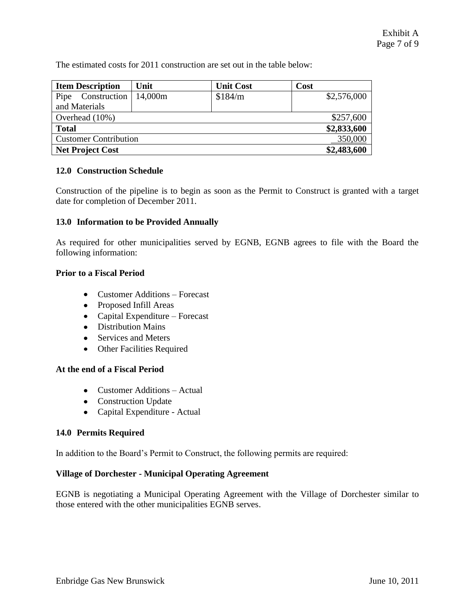The estimated costs for 2011 construction are set out in the table below:

| <b>Item Description</b>      | Unit        | <b>Unit Cost</b> | Cost        |
|------------------------------|-------------|------------------|-------------|
| Construction<br>Pipe         | 14,000m     | \$184/m          | \$2,576,000 |
| and Materials                |             |                  |             |
| Overhead (10%)               | \$257,600   |                  |             |
| <b>Total</b>                 | \$2,833,600 |                  |             |
| <b>Customer Contribution</b> | 350,000     |                  |             |
| <b>Net Project Cost</b>      | \$2,483,600 |                  |             |

# **12.0 Construction Schedule**

Construction of the pipeline is to begin as soon as the Permit to Construct is granted with a target date for completion of December 2011.

### **13.0 Information to be Provided Annually**

As required for other municipalities served by EGNB, EGNB agrees to file with the Board the following information:

### **Prior to a Fiscal Period**

- Customer Additions Forecast
- Proposed Infill Areas
- Capital Expenditure Forecast
- Distribution Mains
- Services and Meters
- Other Facilities Required

### **At the end of a Fiscal Period**

- Customer Additions Actual
- Construction Update
- Capital Expenditure Actual

### **14.0 Permits Required**

In addition to the Board's Permit to Construct, the following permits are required:

### **Village of Dorchester - Municipal Operating Agreement**

EGNB is negotiating a Municipal Operating Agreement with the Village of Dorchester similar to those entered with the other municipalities EGNB serves.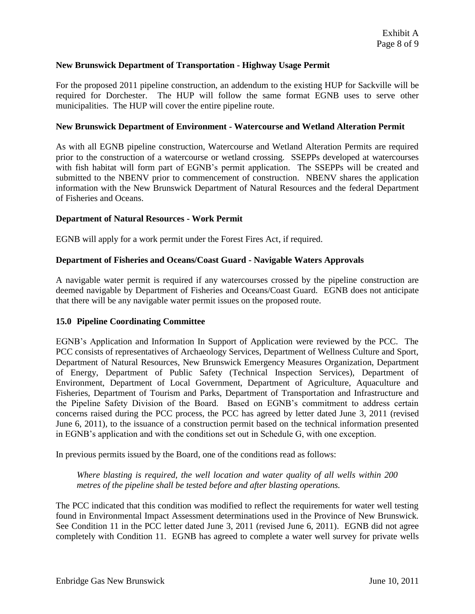### **New Brunswick Department of Transportation - Highway Usage Permit**

For the proposed 2011 pipeline construction, an addendum to the existing HUP for Sackville will be required for Dorchester. The HUP will follow the same format EGNB uses to serve other municipalities. The HUP will cover the entire pipeline route.

### **New Brunswick Department of Environment - Watercourse and Wetland Alteration Permit**

As with all EGNB pipeline construction, Watercourse and Wetland Alteration Permits are required prior to the construction of a watercourse or wetland crossing. SSEPPs developed at watercourses with fish habitat will form part of EGNB's permit application. The SSEPPs will be created and submitted to the NBENV prior to commencement of construction. NBENV shares the application information with the New Brunswick Department of Natural Resources and the federal Department of Fisheries and Oceans.

### **Department of Natural Resources - Work Permit**

EGNB will apply for a work permit under the Forest Fires Act, if required.

### **Department of Fisheries and Oceans/Coast Guard - Navigable Waters Approvals**

A navigable water permit is required if any watercourses crossed by the pipeline construction are deemed navigable by Department of Fisheries and Oceans/Coast Guard. EGNB does not anticipate that there will be any navigable water permit issues on the proposed route.

### **15.0 Pipeline Coordinating Committee**

EGNB's Application and Information In Support of Application were reviewed by the PCC. The PCC consists of representatives of Archaeology Services, Department of Wellness Culture and Sport, Department of Natural Resources, New Brunswick Emergency Measures Organization, Department of Energy, Department of Public Safety (Technical Inspection Services), Department of Environment, Department of Local Government, Department of Agriculture, Aquaculture and Fisheries, Department of Tourism and Parks, Department of Transportation and Infrastructure and the Pipeline Safety Division of the Board. Based on EGNB's commitment to address certain concerns raised during the PCC process, the PCC has agreed by letter dated June 3, 2011 (revised June 6, 2011), to the issuance of a construction permit based on the technical information presented in EGNB's application and with the conditions set out in Schedule G, with one exception.

In previous permits issued by the Board, one of the conditions read as follows:

*Where blasting is required, the well location and water quality of all wells within 200 metres of the pipeline shall be tested before and after blasting operations.*

The PCC indicated that this condition was modified to reflect the requirements for water well testing found in Environmental Impact Assessment determinations used in the Province of New Brunswick. See Condition 11 in the PCC letter dated June 3, 2011 (revised June 6, 2011). EGNB did not agree completely with Condition 11. EGNB has agreed to complete a water well survey for private wells